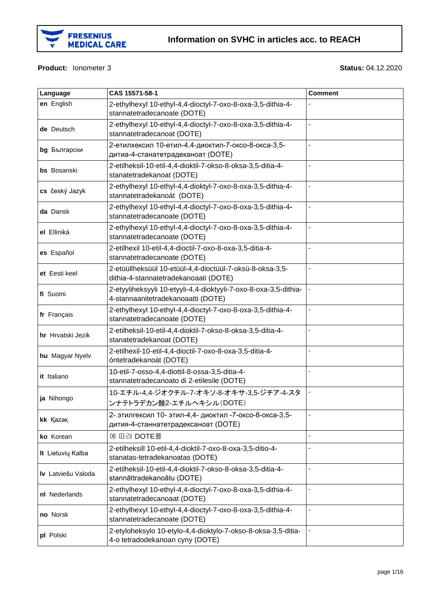

#### **Product:** Ionometer 3 **Status:** 04.12.2020

| Language           | CAS 15571-58-1                                                                                         | <b>Comment</b> |
|--------------------|--------------------------------------------------------------------------------------------------------|----------------|
| en English         | 2-ethylhexyl 10-ethyl-4,4-dioctyl-7-oxo-8-oxa-3,5-dithia-4-<br>stannatetradecanoate (DOTE)             |                |
| de Deutsch         | 2-ethylhexyl 10-ethyl-4,4-dioctyl-7-oxo-8-oxa-3,5-dithia-4-<br>stannatetradecanoat (DOTE)              |                |
| bg Български       | 2-етилхексил 10-етил-4,4-диоктил-7-оксо-8-окса-3,5-<br>дитиа-4-станатетрадеканоат (DOTE)               |                |
| <b>bs</b> Bosanski | 2-etilheksil-10-etil-4,4-dioktil-7-okso-8-oksa-3,5-ditia-4-<br>stanatetradekanoat (DOTE)               |                |
| cs český Jazyk     | 2-ethylhexyl 10-ethyl-4,4-dioktyl-7-oxo-8-oxa-3,5-dithia-4-<br>stannatetradekanoát (DOTE)              |                |
| da Dansk           | 2-ethylhexyl 10-ethyl-4,4-dioctyl-7-oxo-8-oxa-3,5-dithia-4-<br>stannatetradecanoate (DOTE)             | ÷,             |
| el Elliniká        | 2-ethylhexyl 10-ethyl-4,4-dioctyl-7-oxo-8-oxa-3,5-dithia-4-<br>stannatetradecanoate (DOTE)             |                |
| es Español         | 2-etilhexil 10-etil-4,4-dioctil-7-oxo-8-oxa-3,5-ditia-4-<br>stannatetradecanoate (DOTE)                |                |
| et Eesti keel      | 2-etüüllheksüül 10-etüül-4,4-dioctüül-7-oksü-8-oksa-3,5-<br>dithia-4-stannatetradekanoaati (DOTE)      | L.             |
| fi Suomi           | 2-etyyliheksyyli 10-etyyli-4,4-dioktyyli-7-oxo-8-oxa-3,5-dithia-<br>4-stannaanitetradekanoaatti (DOTE) |                |
| fr Français        | 2-ethylhexyl 10-ethyl-4,4-dioctyl-7-oxo-8-oxa-3,5-dithia-4-<br>stannatetradecanoate (DOTE)             |                |
| hr Hrvatski Jezik  | 2-etilheksil-10-etil-4,4-dioktil-7-okso-8-oksa-3,5-ditia-4-<br>stanatetradekanoat (DOTE)               |                |
| hu Magyar Nyelv    | 2-etilhexil-10-etil-4,4-dioctil-7-oxo-8-oxa-3,5-ditia-4-<br>óntetradekanoát (DOTE)                     |                |
| it Italiano        | 10-etil-7-osso-4,4-diottil-8-ossa-3,5-ditia-4-<br>stannatetradecanoato di 2-etilesile (DOTE)           |                |
| ja Nihongo         | 10-エチル-4,4-ジオクチル-7-オキソ-8-オキサ-3,5-ジチア-4-スタ<br>ンナテトラデカン酸2-エチルヘキシル(DOTE)                                  |                |
| kk Kazak           | 2- этилгексил 10- этил-4,4- диоктил -7-оксо-8-окса-3,5-<br>дития-4-станнатетрадексаноат (DOTE)         |                |
| ko Korean          | 에 따라 DOTE를                                                                                             | ä,             |
| It Lietuvių Kalba  | 2-etilheksill 10-etil-4,4-dioktil-7-oxo-8-oxa-3,5-ditio-4-<br>stanatas-tetradekanoatas (DOTE)          |                |
| Iv Latviešu Valoda | 2-etilheksil-10-etil-4,4-dioktil-7-okso-8-oksa-3,5-ditia-4-<br>stannāttradekanoātu (DOTE)              |                |
| nl Nederlands      | 2-ethylhexyl 10-ethyl-4,4-dioctyl-7-oxo-8-oxa-3,5-dithia-4-<br>stannatetradecanoaat (DOTE)             |                |
| no Norsk           | 2-ethylhexyl 10-ethyl-4,4-dioctyl-7-oxo-8-oxa-3,5-dithia-4-<br>stannatetradecanoate (DOTE)             |                |
| pl Polski          | 2-etyloheksylo 10-etylo-4,4-dioktylo-7-okso-8-oksa-3,5-ditia-<br>4-o tetradodekanoan cyny (DOTE)       |                |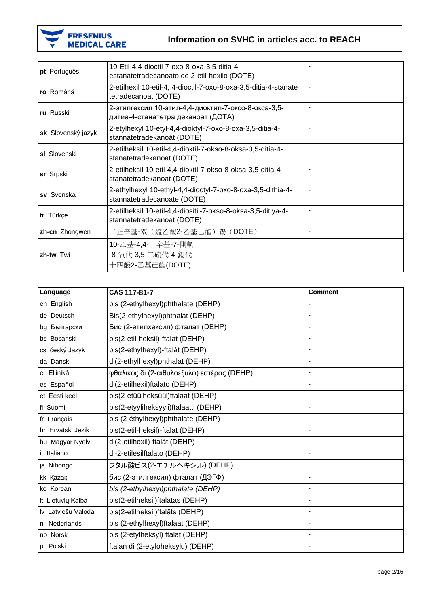

| pt Português       | 10-Etil-4,4-dioctil-7-oxo-8-oxa-3,5-ditia-4-<br>estanatetradecanoato de 2-etil-hexilo (DOTE) |                |
|--------------------|----------------------------------------------------------------------------------------------|----------------|
| ro Română          | 2-etilhexil 10-etil-4, 4-dioctil-7-oxo-8-oxa-3,5-ditia-4-stanate<br>tetradecanoat (DOTE)     | $\blacksquare$ |
| ru Russkij         | 2-этилгексил 10-этил-4,4-диоктил-7-оксо-8-окса-3,5-<br>дитиа-4-станатетра деканоат (ДОТА)    |                |
| sk Slovenský jazyk | 2-etylhexyl 10-etyl-4,4-dioktyl-7-oxo-8-oxa-3,5-ditia-4-<br>stannatetradekanoát (DOTE)       |                |
| sl Slovenski       | 2-etilheksil 10-etil-4,4-dioktil-7-okso-8-oksa-3,5-ditia-4-<br>stanatetradekanoat (DOTE)     |                |
| sr Srpski          | 2-etilheksil 10-etil-4,4-dioktil-7-okso-8-oksa-3,5-ditia-4-<br>stanatetradekanoat (DOTE)     |                |
| sv Svenska         | 2-ethylhexyl 10-ethyl-4,4-dioctyl-7-oxo-8-oxa-3,5-dithia-4-<br>stannatetradecanoate (DOTE)   | ä,             |
| tr Türkçe          | 2-etilheksil 10-etil-4,4-diositil-7-okso-8-oksa-3,5-ditiya-4-<br>stannatetradekanoat (DOTE)  | ä,             |
| zh-cn Zhongwen     | 二正辛基-双(巯乙酸2-乙基己酯)锡(DOTE)                                                                     |                |
| zh-tw Twi          | 10-乙基-4,4-二辛基-7-側氧<br>-8-氧代-3,5-二硫代-4-錫代<br>十四酸2-乙基己酯(DOTE)                                  |                |

| Language           | CAS 117-81-7                               | <b>Comment</b> |
|--------------------|--------------------------------------------|----------------|
| en English         | bis (2-ethylhexyl)phthalate (DEHP)         |                |
| de Deutsch         | Bis(2-ethylhexyl)phthalat (DEHP)           |                |
| bg Български       | Бис (2-етилхексил) фталат (DEHP)           |                |
| bs Bosanski        | bis(2-etil-heksil)-ftalat (DEHP)           |                |
| cs český Jazyk     | bis(2-ethylhexyl)-ftalát (DEHP)            |                |
| da Dansk           | di(2-ethylhexyl)phthalat (DEHP)            |                |
| el Elliniká        | φθαλικός δι (2-αιθυλοεξυλο) εστέρας (DEHP) | ä,             |
| es Español         | di(2-etilhexil)ftalato (DEHP)              |                |
| et Eesti keel      | bis(2-etüülheksüül)ftalaat (DEHP)          |                |
| fi Suomi           | bis(2-etyyliheksyyli)ftalaatti (DEHP)      | ä,             |
| fr Français        | bis (2-éthylhexyl)phthalate (DEHP)         |                |
| hr Hrvatski Jezik  | bis(2-etil-heksil)-ftalat (DEHP)           |                |
| hu Magyar Nyelv    | di(2-etilhexil)-ftalát (DEHP)              |                |
| it Italiano        | di-2-etilesilftalato (DEHP)                |                |
| ja Nihongo         | フタル酸ビス(2-エチルヘキシル) (DEHP)                   | ÷,             |
| kk Kazak           | бис (2-этилгексил) фталат (ДЭГФ)           |                |
| ko Korean          | bis (2-ethylhexyl)phthalate (DEHP)         |                |
| It Lietuviu Kalba  | bis(2-etilheksil)ftalatas (DEHP)           |                |
| Iv Latviešu Valoda | bis(2-etilheksil)ftalāts (DEHP)            |                |
| nl Nederlands      | bis (2-ethylhexyl)ftalaat (DEHP)           | ä,             |
| no Norsk           | bis (2-etylheksyl) ftalat (DEHP)           | ä,             |
| pl Polski          | ftalan di (2-etyloheksylu) (DEHP)          | ä,             |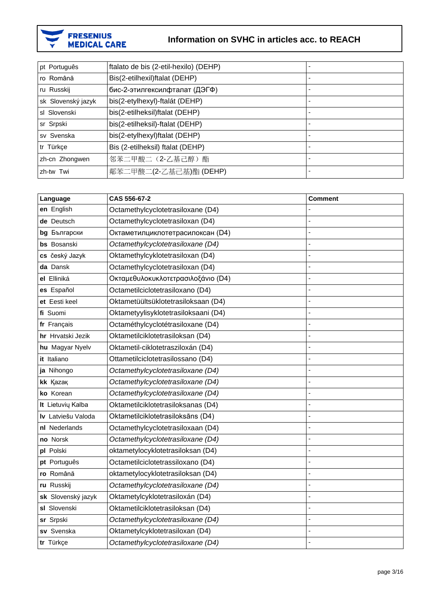

| pt Português       | ftalato de bis (2-etil-hexilo) (DEHP) |  |
|--------------------|---------------------------------------|--|
| ro Română          | Bis(2-etilhexil)ftalat (DEHP)         |  |
| ru Russkij         | бис-2-этилгексилфталат (ДЭГФ)         |  |
| sk Slovenský jazyk | bis(2-etylhexyl)-ftalát (DEHP)        |  |
| sl Slovenski       | bis(2-etilheksil)ftalat (DEHP)        |  |
| sr Srpski          | bis(2-etilheksil)-ftalat (DEHP)       |  |
| sv Svenska         | bis(2-etylhexyl)ftalat (DEHP)         |  |
| tr Türkçe          | Bis (2-etilheksil) ftalat (DEHP)      |  |
| zh-cn Zhongwen     | 邻苯二甲酸二(2-乙基己醇)酯                       |  |
| zh-tw Twi          | 鄰苯二甲酸二(2-乙基己基)酯 (DEHP)                |  |

| Language           | CAS 556-67-2                         | <b>Comment</b> |
|--------------------|--------------------------------------|----------------|
| en English         | Octamethylcyclotetrasiloxane (D4)    |                |
| de Deutsch         | Octamethylcyclotetrasiloxan (D4)     |                |
| Български<br>bg    | Октаметилциклотетрасилоксан (D4)     | L,             |
| bs Bosanski        | Octamethylcyclotetrasiloxane (D4)    |                |
| cs český Jazyk     | Oktamethylcyklotetrasiloxan (D4)     |                |
| da Dansk           | Octamethylcyclotetrasiloxan (D4)     |                |
| el Elliniká        | Οκταμεθυλοκυκλοτετρασιλοξάνιο (D4)   |                |
| es Español         | Octametilciclotetrasiloxano (D4)     | L.             |
| et Eesti keel      | Oktametüültsüklotetrasiloksaan (D4)  |                |
| fi Suomi           | Oktametyylisyklotetrasiloksaani (D4) |                |
| fr Français        | Octaméthylcyclotétrasiloxane (D4)    |                |
| hr Hrvatski Jezik  | Oktametilciklotetrasiloksan (D4)     |                |
| hu Magyar Nyelv    | Oktametil-ciklotetrasziloxán (D4)    | Ĭ.             |
| it Italiano        | Ottametilciclotetrasilossano (D4)    |                |
| ja Nihongo         | Octamethylcyclotetrasiloxane (D4)    |                |
| kk Kazak           | Octamethylcyclotetrasiloxane (D4)    |                |
| ko Korean          | Octamethylcyclotetrasiloxane (D4)    |                |
| It Lietuvių Kalba  | Oktametilciklotetrasiloksanas (D4)   |                |
| Iv Latviešu Valoda | Oktametilciklotetrasiloksāns (D4)    |                |
| nl Nederlands      | Octamethylcyclotetrasiloxaan (D4)    |                |
| no Norsk           | Octamethylcyclotetrasiloxane (D4)    |                |
| pl Polski          | oktametylocyklotetrasiloksan (D4)    |                |
| pt Português       | Octametilciclotetrassiloxano (D4)    |                |
| ro Română          | oktametylocyklotetrasiloksan (D4)    |                |
| ru Russkij         | Octamethylcyclotetrasiloxane (D4)    |                |
| sk Slovenský jazyk | Oktametylcyklotetrasiloxán (D4)      |                |
| sl Slovenski       | Oktametilciklotetrasiloksan (D4)     | Ĭ.             |
| sr Srpski          | Octamethylcyclotetrasiloxane (D4)    |                |
| sv Svenska         | Oktametylcyklotetrasiloxan (D4)      |                |
| tr Türkçe          | Octamethylcyclotetrasiloxane (D4)    | L,             |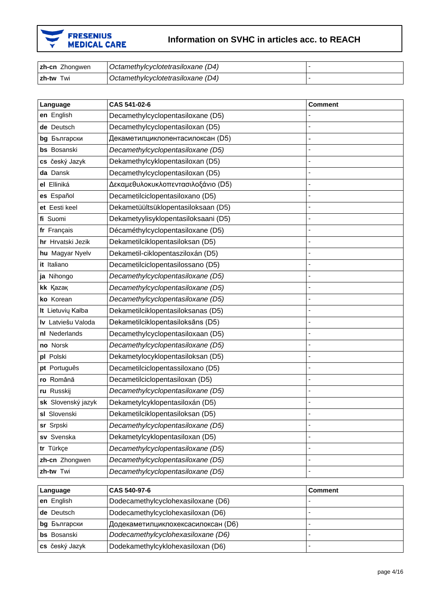

| <b>zh-cn</b> Zhongwen | l Octamethylcyclotetrasiloxane (D4) |  |
|-----------------------|-------------------------------------|--|
| <b>Izh-tw Twi</b>     | Octamethylcyclotetrasiloxane (D4)   |  |

| Language           | CAS 541-02-6                         | <b>Comment</b> |
|--------------------|--------------------------------------|----------------|
| en English         | Decamethylcyclopentasiloxane (D5)    |                |
| de Deutsch         | Decamethylcyclopentasiloxan (D5)     |                |
| bg Български       | Декаметилциклопентасилоксан (D5)     |                |
| bs Bosanski        | Decamethylcyclopentasiloxane (D5)    |                |
| cs český Jazyk     | Dekamethylcyklopentasiloxan (D5)     |                |
| da Dansk           | Decamethylcyclopentasiloxan (D5)     |                |
| el Elliniká        | Δεκαμεθυλοκυκλοπεντασιλοξάνιο (D5)   |                |
| es Español         | Decametilciclopentasiloxano (D5)     | L,             |
| et Eesti keel      | Dekametüültsüklopentasiloksaan (D5)  |                |
| fi Suomi           | Dekametyylisyklopentasiloksaani (D5) |                |
| fr Français        | Décaméthylcyclopentasiloxane (D5)    | ä,             |
| hr Hrvatski Jezik  | Dekametilciklopentasiloksan (D5)     |                |
| hu Magyar Nyelv    | Dekametil-ciklopentasziloxán (D5)    |                |
| it Italiano        | Decametilciclopentasilossano (D5)    |                |
| ja Nihongo         | Decamethylcyclopentasiloxane (D5)    |                |
| kk Kazak           | Decamethylcyclopentasiloxane (D5)    |                |
| ko Korean          | Decamethylcyclopentasiloxane (D5)    | L,             |
| It Lietuvių Kalba  | Dekametilciklopentasiloksanas (D5)   |                |
| Iv Latviešu Valoda | Dekametilciklopentasiloksāns (D5)    |                |
| nl Nederlands      | Decamethylcyclopentasiloxaan (D5)    |                |
| no Norsk           | Decamethylcyclopentasiloxane (D5)    |                |
| pl Polski          | Dekametylocyklopentasiloksan (D5)    |                |
| pt Português       | Decametilciclopentassiloxano (D5)    |                |
| ro Română          | Decametilciclopentasiloxan (D5)      |                |
| ru Russkij         | Decamethylcyclopentasiloxane (D5)    |                |
| sk Slovenský jazyk | Dekametylcyklopentasiloxán (D5)      |                |
| sl Slovenski       | Dekametilciklopentasiloksan (D5)     |                |
| sr Srpski          | Decamethylcyclopentasiloxane (D5)    |                |
| sv Svenska         | Dekametylcyklopentasiloxan (D5)      |                |
| tr Türkçe          | Decamethylcyclopentasiloxane (D5)    |                |
| zh-cn Zhongwen     | Decamethylcyclopentasiloxane (D5)    |                |
| zh-tw Twi          | Decamethylcyclopentasiloxane (D5)    |                |

| Language            | CAS 540-97-6                       | <b>Comment</b> |
|---------------------|------------------------------------|----------------|
| en English          | Dodecamethylcyclohexasiloxane (D6) |                |
| de Deutsch          | Dodecamethylcyclohexasiloxan (D6)  |                |
| <b>bg</b> Български | Додекаметилциклохексасилоксан (D6) |                |
| <b>bs</b> Bosanski  | Dodecamethylcyclohexasiloxane (D6) |                |
| cs český Jazyk      | Dodekamethylcyklohexasiloxan (D6)  |                |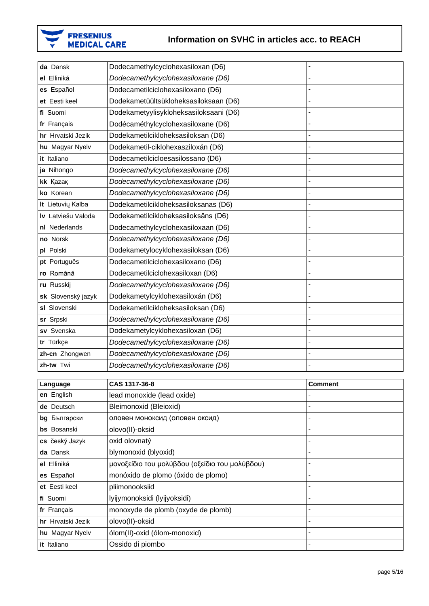

| da Dansk           | Dodecamethylcyclohexasiloxan (D6)      |    |
|--------------------|----------------------------------------|----|
| el Elliniká        | Dodecamethylcyclohexasiloxane (D6)     | ۳  |
| es Español         | Dodecametilciclohexasiloxano (D6)      |    |
| et Eesti keel      | Dodekametüültsükloheksasiloksaan (D6)  |    |
| fi Suomi           | Dodekametyylisykloheksasiloksaani (D6) | L, |
| fr Français        | Dodécaméthylcyclohexasiloxane (D6)     | ÷, |
| hr Hrvatski Jezik  | Dodekametilcikloheksasiloksan (D6)     |    |
| hu Magyar Nyelv    | Dodekametil-ciklohexasziloxán (D6)     |    |
| it Italiano        | Dodecametilcicloesasilossano (D6)      |    |
| ja Nihongo         | Dodecamethylcyclohexasiloxane (D6)     |    |
| kk Kazak           | Dodecamethylcyclohexasiloxane (D6)     |    |
| ko Korean          | Dodecamethylcyclohexasiloxane (D6)     |    |
| It Lietuvių Kalba  | Dodekametilcikloheksasiloksanas (D6)   | ÷, |
| Iv Latviešu Valoda | Dodekametilcikloheksasiloksāns (D6)    |    |
| nl Nederlands      | Dodecamethylcyclohexasiloxaan (D6)     |    |
| no Norsk           | Dodecamethylcyclohexasiloxane (D6)     | Ĭ. |
| pl Polski          | Dodekametylocyklohexasiloksan (D6)     | ÷, |
| pt Português       | Dodecametilciclohexasiloxano (D6)      |    |
| ro Română          | Dodecametilciclohexasiloxan (D6)       |    |
| ru Russkij         | Dodecamethylcyclohexasiloxane (D6)     |    |
| sk Slovenský jazyk | Dodekametylcyklohexasiloxán (D6)       | ÷, |
| sl Slovenski       | Dodekametilcikloheksasiloksan (D6)     |    |
| sr Srpski          | Dodecamethylcyclohexasiloxane (D6)     |    |
| sv Svenska         | Dodekametylcyklohexasiloxan (D6)       | Ĭ. |
| tr Türkçe          | Dodecamethylcyclohexasiloxane (D6)     |    |
| zh-cn Zhongwen     | Dodecamethylcyclohexasiloxane (D6)     |    |
| zh-tw Twi          | Dodecamethylcyclohexasiloxane (D6)     |    |
|                    |                                        |    |

| Language           | CAS 1317-36-8                                  | <b>Comment</b>           |
|--------------------|------------------------------------------------|--------------------------|
| en English         | lead monoxide (lead oxide)                     |                          |
| de Deutsch         | Bleimonoxid (Bleioxid)                         | $\overline{\phantom{0}}$ |
| bg Български       | оловен моноксид (оловен оксид)                 |                          |
| <b>bs</b> Bosanski | olovo(II)-oksid                                | $\overline{\phantom{0}}$ |
| cs český Jazyk     | oxid olovnatý                                  | $\overline{\phantom{0}}$ |
| da Dansk           | blymonoxid (blyoxid)                           | $\blacksquare$           |
| el Elliniká        | μονοξείδιο του μολύβδου (οξείδιο του μολύβδου) |                          |
| es Español         | monóxido de plomo (óxido de plomo)             | $\overline{\phantom{0}}$ |
| et Eesti keel      | pliimonooksiid                                 |                          |
| fi Suomi           | lyijymonoksidi (lyijyoksidi)                   | $\overline{\phantom{0}}$ |
| fr Français        | monoxyde de plomb (oxyde de plomb)             | $\overline{\phantom{0}}$ |
| hr Hrvatski Jezik  | olovo(II)-oksid                                | $\overline{\phantom{0}}$ |
| hu Magyar Nyelv    | ólom(II)-oxid (ólom-monoxid)                   |                          |
| it Italiano        | Ossido di piombo                               |                          |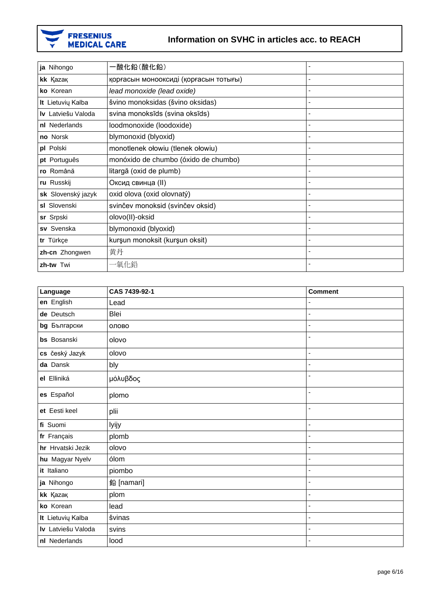

| ja Nihongo         | 一酸化鉛(酸化鉛)                             |   |
|--------------------|---------------------------------------|---|
| kk Kazak           | қорғасын монооксиді (қорғасын тотығы) |   |
| ko Korean          | lead monoxide (lead oxide)            |   |
| It Lietuvių Kalba  | švino monoksidas (švino oksidas)      |   |
| Iv Latviešu Valoda | svina monoksīds (svina oksīds)        |   |
| nl Nederlands      | loodmonoxide (loodoxide)              |   |
| no Norsk           | blymonoxid (blyoxid)                  |   |
| pl Polski          | monotlenek ołowiu (tlenek ołowiu)     |   |
| pt Português       | monóxido de chumbo (óxido de chumbo)  |   |
| ro Română          | litargă (oxid de plumb)               |   |
| ru Russkij         | Оксид свинца (II)                     |   |
| sk Slovenský jazyk | oxid olova (oxid olovnatý)            |   |
| sl Slovenski       | svinčev monoksid (svinčev oksid)      |   |
| sr Srpski          | olovo(II)-oksid                       |   |
| sv Svenska         | blymonoxid (blyoxid)                  |   |
| tr Türkçe          | kurşun monoksit (kurşun oksit)        |   |
| zh-cn Zhongwen     | 黄丹                                    |   |
| zh-tw Twi          | 一氧化鉛                                  | ٠ |

| Language           | CAS 7439-92-1 | <b>Comment</b> |
|--------------------|---------------|----------------|
| en English         | Lead          |                |
| de Deutsch         | Blei          | ä,             |
| bg Български       | олово         | L.             |
| bs Bosanski        | olovo         | ä,             |
| cs český Jazyk     | olovo         | ÷,             |
| da Dansk           | bly           | ä,             |
| el Elliniká        | μόλυβδος      | ä,             |
| es Español         | plomo         | ä,             |
| et Eesti keel      | plii          | ä,             |
| fi Suomi           | lyijy         | ä,             |
| fr Français        | plomb         | ä,             |
| hr Hrvatski Jezik  | olovo         | ÷,             |
| hu Magyar Nyelv    | ólom          | $\overline{a}$ |
| it Italiano        | piombo        | ä,             |
| ja Nihongo         | 鉛 [namari]    | ä,             |
| kk Kazak           | plom          | ä,             |
| ko Korean          | lead          | ä,             |
| It Lietuvių Kalba  | švinas        | ä,             |
| Iv Latviešu Valoda | svins         | L,             |
| nl Nederlands      | lood          | ä,             |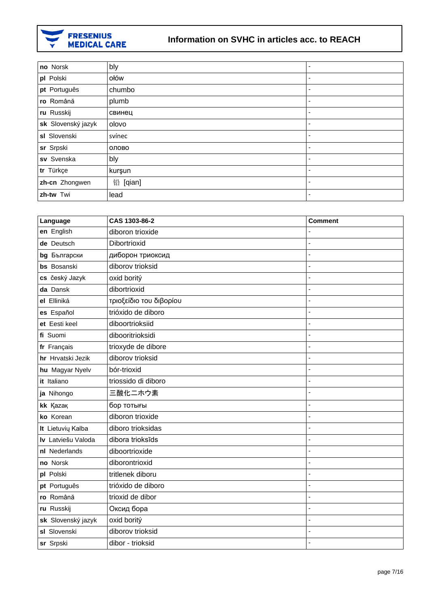

| no Norsk           | bly      | $\blacksquare$ |
|--------------------|----------|----------------|
| pl Polski          | ołów     | ٠              |
| pt Português       | chumbo   | ٠              |
| ro Română          | plumb    | ٠              |
| ru Russkij         | свинец   | ٠              |
| sk Slovenský jazyk | olovo    | ۰              |
| sl Slovenski       | svínec   | ٠              |
| sr Srpski          | олово    | ٠              |
| sv Svenska         | bly      | ٠              |
| tr Türkçe          | kurşun   | ٠              |
| zh-cn Zhongwen     | 铅 [qian] | ٠              |
| zh-tw Twi          | lead     | ۰              |

| Language           | CAS 1303-86-2           | <b>Comment</b> |
|--------------------|-------------------------|----------------|
| en English         | diboron trioxide        |                |
| de Deutsch         | Dibortrioxid            |                |
| bg Български       | диборон триоксид        |                |
| bs Bosanski        | diborov trioksid        | L.             |
| cs český Jazyk     | oxid boritý             | Ĭ.             |
| da Dansk           | dibortrioxid            | Ĭ.             |
| el Elliniká        | τριοξείδιο του διβορίου |                |
| es Español         | trióxido de diboro      |                |
| et Eesti keel      | diboortrioksiid         |                |
| fi Suomi           | dibooritrioksidi        |                |
| fr Français        | trioxyde de dibore      |                |
| hr Hrvatski Jezik  | diborov trioksid        |                |
| hu Magyar Nyelv    | bór-trioxid             |                |
| it Italiano        | triossido di diboro     | L.             |
| ja Nihongo         | 三酸化ニホウ素                 | L.             |
| kk Kazak           | бор тотығы              | Ĭ.             |
| ko Korean          | diboron trioxide        |                |
| It Lietuvių Kalba  | diboro trioksidas       | ÷,             |
| Iv Latviešu Valoda | dibora trioksīds        | Ĭ.             |
| nl Nederlands      | diboortrioxide          | Ĭ.             |
| no Norsk           | diborontrioxid          |                |
| pl Polski          | tritlenek diboru        |                |
| pt Português       | trióxido de diboro      |                |
| ro Română          | trioxid de dibor        |                |
| ru Russkij         | Оксид бора              |                |
| sk Slovenský jazyk | oxid boritý             | Ĭ.             |
| sl Slovenski       | diborov trioksid        | ÷,             |
| sr Srpski          | dibor - trioksid        | ä,             |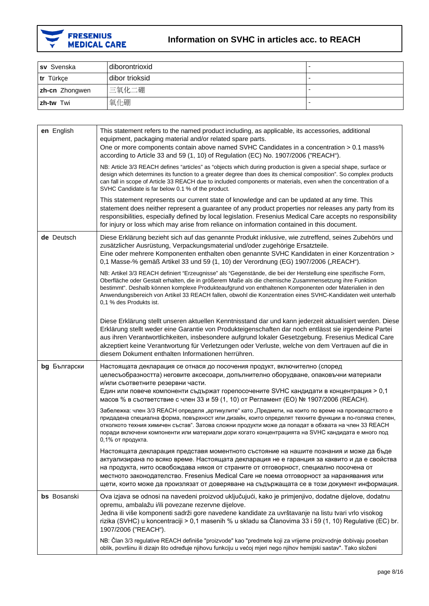

| sv Svenska       | diborontrioxid |  |
|------------------|----------------|--|
| tr Türkçe        | dibor trioksid |  |
| zh-cn Zhongwen   | 三氧化二硼          |  |
| <b>zh-tw</b> Twi | 氧化硼            |  |

| en English   | This statement refers to the named product including, as applicable, its accessories, additional<br>equipment, packaging material and/or related spare parts.<br>One or more components contain above named SVHC Candidates in a concentration > 0.1 mass%<br>according to Article 33 and 59 (1, 10) of Regulation (EC) No. 1907/2006 ("REACH").                                                                                                                                    |
|--------------|-------------------------------------------------------------------------------------------------------------------------------------------------------------------------------------------------------------------------------------------------------------------------------------------------------------------------------------------------------------------------------------------------------------------------------------------------------------------------------------|
|              | NB: Article 3/3 REACH defines "articles" as "objects which during production is given a special shape, surface or<br>design which determines its function to a greater degree than does its chemical composition". So complex products<br>can fall in scope of Article 33 REACH due to included components or materials, even when the concentration of a<br>SVHC Candidate is far below 0.1 % of the product.                                                                      |
|              | This statement represents our current state of knowledge and can be updated at any time. This<br>statement does neither represent a guarantee of any product properties nor releases any party from its<br>responsibilities, especially defined by local legislation. Fresenius Medical Care accepts no responsibility<br>for injury or loss which may arise from reliance on information contained in this document.                                                               |
| de Deutsch   | Diese Erklärung bezieht sich auf das genannte Produkt inklusive, wie zutreffend, seines Zubehörs und<br>zusätzlicher Ausrüstung, Verpackungsmaterial und/oder zugehörige Ersatzteile.<br>Eine oder mehrere Komponenten enthalten oben genannte SVHC Kandidaten in einer Konzentration ><br>0,1 Masse-% gemäß Artikel 33 und 59 (1, 10) der Verordnung (EG) 1907/2006 ("REACH").                                                                                                     |
|              | NB: Artikel 3/3 REACH definiert "Erzeugnisse" als "Gegenstände, die bei der Herstellung eine spezifische Form,<br>Oberfläche oder Gestalt erhalten, die in größerem Maße als die chemische Zusammensetzung ihre Funktion<br>bestimmt". Deshalb können komplexe Produkteaufgrund von enthaltenen Komponenten oder Materialien in den<br>Anwendungsbereich von Artikel 33 REACH fallen, obwohl die Konzentration eines SVHC-Kandidaten weit unterhalb<br>0,1 % des Produkts ist.      |
|              | Diese Erklärung stellt unseren aktuellen Kenntnisstand dar und kann jederzeit aktualisiert werden. Diese<br>Erklärung stellt weder eine Garantie von Produkteigenschaften dar noch entlässt sie irgendeine Partei<br>aus ihren Verantwortlichkeiten, insbesondere aufgrund lokaler Gesetzgebung. Fresenius Medical Care<br>akzeptiert keine Verantwortung für Verletzungen oder Verluste, welche von dem Vertrauen auf die in<br>diesem Dokument enthalten Informationen herrühren. |
| bg Български | Настоящата декларация се отнася до посочения продукт, включително (според<br>целесъобразността) неговите аксесоари, допълнително оборудване, опаковъчни материали<br>и/или съответните резервни части.<br>Един или повече компоненти съдържат горепосочените SVHC кандидати в концентрация > 0,1<br>масов % в съответствие с член 33 и 59 (1, 10) от Регламент (ЕО) № 1907/2006 (REACH).                                                                                            |
|              | Забележка: член 3/3 REACH определя "артикулите" като "Предмети, на които по време на производството е<br>придадена специална форма, повърхност или дизайн, които определят техните функции в по-голяма степен,<br>отколкото техния химичен състав". Затова сложни продукти може да попадат в обхвата на член 33 REACH<br>поради включени компоненти или материали дори когато концентрацията на SVHC кандидата е много под<br>0,1% от продукта.                                     |
|              | Настоящата декларация представя моментното състояние на нашите познания и може да бъде<br>актуализирана по всяко време. Настоящата декларация не е гаранция за каквито и да е свойства<br>на продукта, нито освобождава някоя от страните от отговорност, специално посочена от<br>местното законодателство. Fresenius Medical Care не поема отговорност за наранявания или<br>щети, които може да произлязат от доверяване на съдържащата се в този документ информация.           |
| bs Bosanski  | Ova izjava se odnosi na navedeni proizvod uključujući, kako je primjenjivo, dodatne dijelove, dodatnu<br>opremu, ambalažu i/ili povezane rezervne dijelove.<br>Jedna ili više komponenti sadrži gore navedene kandidate za uvrštavanje na listu tvari vrlo visokog<br>rizika (SVHC) u koncentraciji > 0,1 masenih % u skladu sa Članovima 33 i 59 (1, 10) Regulative (EC) br.<br>1907/2006 ("REACH").                                                                               |
|              | NB: Član 3/3 regulative REACH definiše "proizvode" kao "predmete koji za vrijeme proizvodnje dobivaju poseban<br>oblik, površinu ili dizajn što određuje njihovu funkciju u većoj mjeri nego njihov hemijski sastav". Tako složeni                                                                                                                                                                                                                                                  |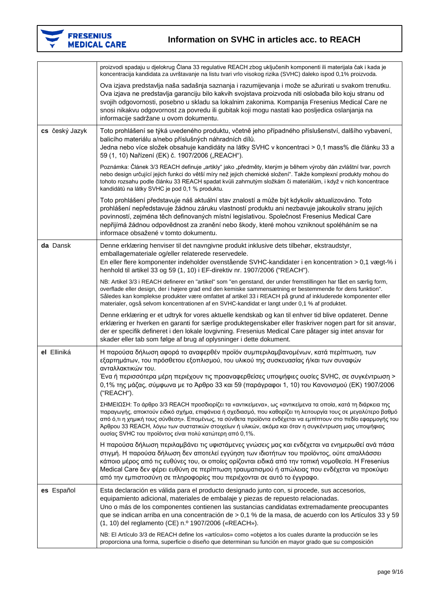

|                | proizvodi spadaju u djelokrug Člana 33 regulative REACH zbog uključenih komponenti ili materijala čak i kada je<br>koncentracija kandidata za uvrštavanje na listu tvari vrlo visokog rizika (SVHC) daleko ispod 0,1% proizvoda.                                                                                                                                                                                                                                                                                |
|----------------|-----------------------------------------------------------------------------------------------------------------------------------------------------------------------------------------------------------------------------------------------------------------------------------------------------------------------------------------------------------------------------------------------------------------------------------------------------------------------------------------------------------------|
|                | Ova izjava predstavlja naša sadašnja saznanja i razumijevanja i može se ažurirati u svakom trenutku.<br>Ova izjava ne predstavlja garanciju bilo kakvih svojstava proizvoda niti oslobađa bilo koju stranu od<br>svojih odgovornosti, posebno u skladu sa lokalnim zakonima. Kompanija Fresenius Medical Care ne<br>snosi nikakvu odgovornost za povredu ili gubitak koji mogu nastati kao posljedica oslanjanja na<br>informacije sadržane u ovom dokumentu.                                                   |
| cs český Jazyk | Toto prohlášení se týká uvedeného produktu, včetně jeho případného příslušenství, dalšího vybavení,<br>balicího materiálu a/nebo příslušných náhradních dílů.<br>Jedna nebo více složek obsahuje kandidáty na látky SVHC v koncentraci > 0,1 mass% dle článku 33 a<br>59 (1, 10) Nařízení (EK) č. 1907/2006 ("REACH").                                                                                                                                                                                          |
|                | Poznámka: Článek 3/3 REACH definuje "artikly" jako "předměty, kterým je během výroby dán zvláštní tvar, povrch<br>nebo design určující jejich funkci do větší míry než jejich chemické složení". Takže komplexní produkty mohou do<br>tohoto rozsahu podle článku 33 REACH spadat kvůli zahrnutým složkám či materiálům, i když v nich koncentrace<br>kandidátů na látky SVHC je pod 0,1 % produktu.                                                                                                            |
|                | Toto prohlášení představuje náš aktuální stav znalostí a může být kdykoliv aktualizováno. Toto<br>prohlášení nepředstavuje žádnou záruku vlastností produktu ani nezbavuje jakoukoliv stranu jejích<br>povinností, zejména těch definovaných místní legislativou. Společnost Fresenius Medical Care<br>nepřijímá žádnou odpovědnost za zranění nebo škody, které mohou vzniknout spoléháním se na<br>informace obsažené v tomto dokumentu.                                                                      |
| da Dansk       | Denne erklæring henviser til det navngivne produkt inklusive dets tilbehør, ekstraudstyr,<br>emballagemateriale og/eller relaterede reservedele.<br>En eller flere komponenter indeholder ovenstående SVHC-kandidater i en koncentration > 0,1 vægt-% i<br>henhold til artikel 33 og 59 (1, 10) i EF-direktiv nr. 1907/2006 ("REACH").                                                                                                                                                                          |
|                | NB: Artikel 3/3 i REACH definerer en "artikel" som "en genstand, der under fremstillingen har fået en særlig form,<br>overflade eller design, der i højere grad end den kemiske sammensætning er bestemmende for dens funktion".<br>Således kan komplekse produkter være omfattet af artikel 33 i REACH på grund af inkluderede komponenter eller<br>materialer, også selvom koncentrationen af en SVHC-kandidat er langt under 0,1 % af produktet.                                                             |
|                | Denne erklæring er et udtryk for vores aktuelle kendskab og kan til enhver tid blive opdateret. Denne<br>erklæring er hverken en garanti for særlige produktegenskaber eller fraskriver nogen part for sit ansvar,<br>der er specifik defineret i den lokale lovgivning. Fresenius Medical Care påtager sig intet ansvar for<br>skader eller tab som følge af brug af oplysninger i dette dokument.                                                                                                             |
| el Elliniká    | Η παρούσα δήλωση αφορά το αναφερθέν προϊόν συμπεριλαμβανομένων, κατά περίπτωση, των<br>εξαρτημάτων, του πρόσθετου εξοπλισμού, του υλικού της συσκευασίας ή/και των συναφών<br>ανταλλακτικών του.<br>Ένα ή περισσότερα μέρη περιέχουν τις προαναφερθείσες υποψήφιες ουσίες SVHC, σε συγκέντρωση ><br>0,1% της μάζας, σύμφωνα με το Άρθρο 33 και 59 (παράγραφοι 1, 10) του Κανονισμού (ΕΚ) 1907/2006<br>("REACH").                                                                                                |
|                | ΣΗΜΕΙΩΣΗ: Το άρθρο 3/3 REACH προσδιορίζει τα «αντικείμενα», ως «αντικείμενα τα οποία, κατά τη διάρκεια της<br>παραγωγής, αποκτούν ειδικό σχήμα, επιφάνεια ή σχεδιασμό, που καθορίζει τη λειτουργία τους σε μεγαλύτερο βαθμό<br>από ό,τι η χημική τους σύνθεση». Επομένως, τα σύνθετα προϊόντα ενδέχεται να εμπίπτουν στο πεδίο εφαρμογής του<br>Άρθρου 33 REACH, λόγω των συστατικών στοιχείων ή υλικών, ακόμα και όταν η συγκέντρωση μιας υποψήφιας<br>ουσίας SVHC του προϊόντος είναι πολύ κατώτερη από 0,1%. |
|                | Η παρούσα δήλωση περιλαμβάνει τις υφιστάμενες γνώσεις μας και ενδέχεται να ενημερωθεί ανά πάσα<br>στιγμή. Η παρούσα δήλωση δεν αποτελεί εγγύηση των ιδιοτήτων του προϊόντος, ούτε απαλλάσσει<br>κάποιο μέρος από τις ευθύνες του, οι οποίες ορίζονται ειδικά από την τοπική νομοθεσία. Η Fresenius<br>Medical Care δεν φέρει ευθύνη σε περίπτωση τραυματισμού ή απώλειας που ενδέχεται να προκύψει<br>από την εμπιστοσύνη σε πληροφορίες που περιέχονται σε αυτό το έγγραφο.                                    |
| es Español     | Esta declaración es válida para el producto designado junto con, si procede, sus accesorios,<br>equipamiento adicional, materiales de embalaje y piezas de repuesto relacionadas.<br>Uno o más de los componentes contienen las sustancias candidatas extremadamente preocupantes<br>que se indican arriba en una concentración de > 0,1 % de la masa, de acuerdo con los Artículos 33 y 59<br>(1, 10) del reglamento (CE) n.º 1907/2006 («REACH»).                                                             |
|                | NB: El Artículo 3/3 de REACH define los «artículos» como «objetos a los cuales durante la producción se les<br>proporciona una forma, superficie o diseño que determinan su función en mayor grado que su composición                                                                                                                                                                                                                                                                                           |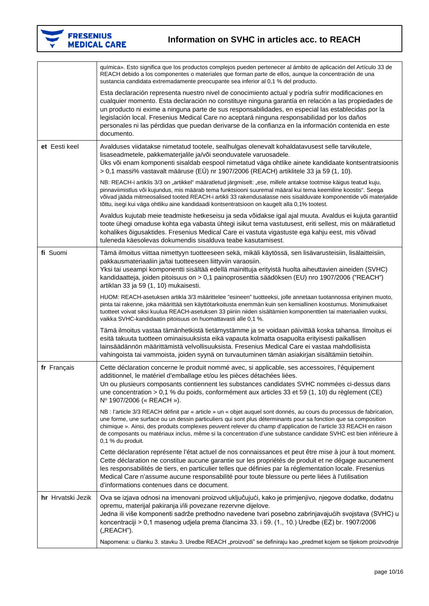

|                   | química». Esto significa que los productos complejos pueden pertenecer al ámbito de aplicación del Artículo 33 de<br>REACH debido a los componentes o materiales que forman parte de ellos, aunque la concentración de una<br>sustancia candidata extremadamente preocupante sea inferior al 0,1 % del producto.                                                                                                                                                                                                                    |
|-------------------|-------------------------------------------------------------------------------------------------------------------------------------------------------------------------------------------------------------------------------------------------------------------------------------------------------------------------------------------------------------------------------------------------------------------------------------------------------------------------------------------------------------------------------------|
|                   | Esta declaración representa nuestro nivel de conocimiento actual y podría sufrir modificaciones en<br>cualquier momento. Esta declaración no constituye ninguna garantía en relación a las propiedades de<br>un producto ni exime a ninguna parte de sus responsabilidades, en especial las establecidas por la<br>legislación local. Fresenius Medical Care no aceptará ninguna responsabilidad por los daños<br>personales ni las pérdidas que puedan derivarse de la confianza en la información contenida en este<br>documento. |
| et Eesti keel     | Avalduses viidatakse nimetatud tootele, sealhulgas olenevalt kohaldatavusest selle tarvikutele,<br>lisaseadmetele, pakkematerjalile ja/või seonduvatele varuosadele.<br>Üks või enam komponenti sisaldab eespool nimetatud väga ohtlike ainete kandidaate kontsentratsioonis<br>> 0,1 massi% vastavalt määruse (EÜ) nr 1907/2006 (REACH) artiklitele 33 ja 59 (1, 10).                                                                                                                                                              |
|                   | NB: REACH-i artiklis 3/3 on "artikkel" määratletud järgmiselt: "ese, millele antakse tootmise käigus teatud kuju,<br>pinnaviimistlus või kujundus, mis määrab tema funktsiooni suuremal määral kui tema keemiline koostis". Seega<br>võivad jääda mitmeosalised tooted REACH-i artikli 33 rakendusalasse neis sisalduvate komponentide või materjalide<br>tõttu, isegi kui väga ohtliku aine kandidaadi kontsentratsioon on kaugelt alla 0,1% tootest.                                                                              |
|                   | Avaldus kujutab meie teadmiste hetkeseisu ja seda võidakse igal ajal muuta. Avaldus ei kujuta garantiid<br>toote ühegi omaduse kohta ega vabasta ühtegi isikut tema vastutusest, eriti sellest, mis on määratletud<br>kohalikes õigusaktides. Fresenius Medical Care ei vastuta vigastuste ega kahju eest, mis võivad<br>tuleneda käesolevas dokumendis sisalduva teabe kasutamisest.                                                                                                                                               |
| fi Suomi          | Tämä ilmoitus viittaa nimettyyn tuotteeseen sekä, mikäli käytössä, sen lisävarusteisiin, lisälaitteisiin,<br>pakkausmateriaaliin ja/tai tuotteeseen liittyviin varaosiin.<br>Yksi tai useampi komponentti sisältää edellä mainittuja erityistä huolta aiheuttavien aineiden (SVHC)<br>kandidaatteja, joiden pitoisuus on > 0,1 painoprosenttia säädöksen (EU) nro 1907/2006 ("REACH")<br>artiklan 33 ja 59 (1, 10) mukaisesti.                                                                                                      |
|                   | HUOM: REACH-asetuksen artikla 3/3 määrittelee "esineen" tuotteeksi, jolle annetaan tuotannossa erityinen muoto,<br>pinta tai rakenne, joka määrittää sen käyttötarkoitusta enemmän kuin sen kemiallinen koostumus. Monimutkaiset<br>tuotteet voivat siksi kuulua REACH-asetuksen 33 piiriin niiden sisältämien komponenttien tai materiaalien vuoksi,<br>vaikka SVHC-kandidaatin pitoisuus on huomattavasti alle 0,1 %.                                                                                                             |
|                   | Tämä ilmoitus vastaa tämänhetkistä tietämystämme ja se voidaan päivittää koska tahansa. Ilmoitus ei<br>esitä takuuta tuotteen ominaisuuksista eikä vapauta kolmatta osapuolta erityisesti paikallisen<br>lainsäädännön määrittämistä velvollisuuksista. Fresenius Medical Care ei vastaa mahdollisista<br>vahingoista tai vammoista, joiden syynä on turvautuminen tämän asiakirjan sisältämiin tietoihin.                                                                                                                          |
| fr Français       | Cette déclaration concerne le produit nommé avec, si applicable, ses accessoires, l'équipement<br>additionnel, le matériel d'emballage et/ou les pièces détachées liées.<br>Un ou plusieurs composants contiennent les substances candidates SVHC nommées ci-dessus dans<br>une concentration > 0,1 % du poids, conformément aux articles 33 et 59 (1, 10) du règlement (CE)<br>Nº 1907/2006 (« REACH »).                                                                                                                           |
|                   | NB : l'article 3/3 REACH définit par « article » un « objet auquel sont donnés, au cours du processus de fabrication,<br>une forme, une surface ou un dessin particuliers qui sont plus déterminants pour sa fonction que sa composition<br>chimique ». Ainsi, des produits complexes peuvent relever du champ d'application de l'article 33 REACH en raison<br>de composants ou matériaux inclus, même si la concentration d'une substance candidate SVHC est bien inférieure à<br>0,1 % du produit.                               |
|                   | Cette déclaration représente l'état actuel de nos connaissances et peut être mise à jour à tout moment.<br>Cette déclaration ne constitue aucune garantie sur les propriétés de produit et ne dégage aucunement<br>les responsabilités de tiers, en particulier telles que définies par la réglementation locale. Fresenius<br>Medical Care n'assume aucune responsabilité pour toute blessure ou perte liées à l'utilisation<br>d'informations contenues dans ce document.                                                         |
| hr Hrvatski Jezik | Ova se izjava odnosi na imenovani proizvod uključujući, kako je primjenjivo, njegove dodatke, dodatnu<br>opremu, materijal pakiranja i/ili povezane rezervne dijelove.<br>Jedna ili više komponenti sadrže prethodno navedene tvari posebno zabrinjavajućih svojstava (SVHC) u<br>koncentraciji > 0,1 masenog udjela prema člancima 33. i 59. (1., 10.) Uredbe (EZ) br. 1907/2006<br>("REACH").                                                                                                                                     |
|                   | Napomena: u članku 3. stavku 3. Uredbe REACH "proizvodi" se definiraju kao "predmet kojem se tijekom proizvodnje                                                                                                                                                                                                                                                                                                                                                                                                                    |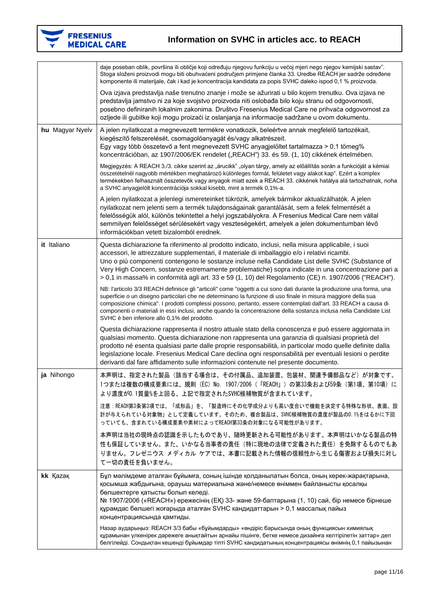

|                 | daje poseban oblik, površina ili obličje koji određuju njegovu funkciju u većoj mjeri nego njegov kemijski sastav".<br>Stoga složeni proizvodi mogu biti obuhvaćeni područjem primjene članka 33. Uredbe REACH jer sadrže određene<br>komponente ili materijale, čak i kad je koncentracija kandidata za popis SVHC daleko ispod 0,1 % proizvoda.                                                                                                                                                                              |
|-----------------|--------------------------------------------------------------------------------------------------------------------------------------------------------------------------------------------------------------------------------------------------------------------------------------------------------------------------------------------------------------------------------------------------------------------------------------------------------------------------------------------------------------------------------|
|                 | Ova izjava predstavlja naše trenutno znanje i može se ažurirati u bilo kojem trenutku. Ova izjava ne<br>predstavlja jamstvo ni za koje svojstvo proizvoda niti oslobađa bilo koju stranu od odgovornosti,<br>posebno definiranih lokalnim zakonima. Društvo Fresenius Medical Care ne prihvaća odgovornost za<br>ozljede ili gubitke koji mogu proizaći iz oslanjanja na informacije sadržane u ovom dokumentu.                                                                                                                |
| hu Magyar Nyelv | A jelen nyilatkozat a megnevezett termékre vonatkozik, beleértve annak megfelelő tartozékait,<br>kiegészítő felszerelését, csomagolóanyagát és/vagy alkatrészeit.<br>Egy vagy több összetevő a fent megnevezett SVHC anyagjelöltet tartalmazza > 0,1 tömeg%<br>koncentrációban, az 1907/2006/EK rendelet ("REACH") 33. és 59. (1, 10) cikkének értelmében.                                                                                                                                                                     |
|                 | Megjegyzés: A REACH 3./3. cikke szerint az "árucikk" "olyan tárgy, amely az előállítás során a funkcióját a kémiai<br>összetételnél nagyobb mértékben meghatározó különleges formát, felületet vagy alakot kap". Ezért a komplex<br>termékekben felhasznált összetevők vagy anyagok miatt ezek a REACH 33. cikkének hatálya alá tartozhatnak, noha<br>a SVHC anyagjelölt koncentrációja sokkal kisebb, mint a termék 0,1%-a.                                                                                                   |
|                 | A jelen nyilatkozat a jelenlegi ismereteinket tükrözik, amelyek bármikor aktualizálhatók. A jelen<br>nyilatkozat nem jelenti sem a termék tulajdonságainak garantálását, sem a felek felmentését a<br>felelősségük alól, különös tekintettel a helyi jogszabályokra. A Fresenius Medical Care nem vállal<br>semmilyen felelősséget sérülésekért vagy veszteségekért, amelyek a jelen dokumentumban lévő<br>információkban vetett bizalomból erednek.                                                                           |
| it Italiano     | Questa dichiarazione fa riferimento al prodotto indicato, inclusi, nella misura applicabile, i suoi<br>accessori, le attrezzature supplementari, il materiale di imballaggio e/o i relativi ricambi.<br>Uno o più componenti contengono le sostanze incluse nella Candidate List delle SVHC (Substance of<br>Very High Concern, sostanze estremamente problematiche) sopra indicate in una concentrazione pari a<br>> 0,1 in massa% in conformità agli art. 33 e 59 (1, 10) del Regolamento (CE) n. 1907/2006 ("REACH").       |
|                 | NB: l'articolo 3/3 REACH definisce gli "articoli" come "oggetti a cui sono dati durante la produzione una forma, una<br>superficie o un disegno particolari che ne determinano la funzione di uso finale in misura maggiore della sua<br>composizione chimica". I prodotti complessi possono, pertanto, essere contemplati dall'art. 33 REACH a causa di<br>componenti o materiali in essi inclusi, anche quando la concentrazione della sostanza inclusa nella Candidate List<br>SVHC è ben inferiore allo 0,1% del prodotto. |
|                 | Questa dichiarazione rappresenta il nostro attuale stato della conoscenza e può essere aggiornata in<br>qualsiasi momento. Questa dichiarazione non rappresenta una garanzia di qualsiasi proprietà del<br>prodotto né esenta qualsiasi parte dalle proprie responsabilità, in particolar modo quelle definite dalla<br>legislazione locale. Fresenius Medical Care declina ogni responsabilità per eventuali lesioni o perdite<br>derivanti dal fare affidamento sulle informazioni contenute nel presente documento.         |
| ja Nihongo      | 本声明は、指定された製品(該当する場合は、その付属品、追加装置、包装材、関連予備部品など)が対象です。<br>1つまたは複数の構成要素には、規則 (EC) No. 1907/2006 (「REACH」) の第33条および59条 (第1項、第10項) に<br>より濃度が0.1質量%を上回る、上記で指定されたSVHC候補物質が含まれています。                                                                                                                                                                                                                                                                                                                                                    |
|                 | 注意:REACH第3条第3項では、「成形品」を、「製造時にその化学成分よりも高い度合いで機能を決定する特殊な形状、表面、設<br>計が与えられている対象物」として定義しています。そのため、複合製品は、SVHC候補物質の濃度が製品の0.1%をはるかに下回<br>っていても、含まれている構成要素や素材によってREACH第33条の対象になる可能性があります。                                                                                                                                                                                                                                                                                                                                              |
|                 | 本声明は当社の現時点の認識を示したものであり、随時更新される可能性があります。本声明はいかなる製品の特<br>性も保証していません。また、いかなる当事者の責任(特に現地の法律で定義された責任)を免除するものでもあ<br>りません。フレゼニウス メディカル ケアでは、本書に記載された情報の信頼性から生じる傷害および損失に対し<br>て一切の責任を負いません。                                                                                                                                                                                                                                                                                                                                            |
| kk Kazak        | Бұл мәлімдеме аталған бұйымға, соның ішінде қолданылатын болса, оның керек-жарақтарына,<br>қосымша жабдығына, орауыш материалына және/немесе өніммен байланысты қосалқы<br>бөлшектерге қатысты болып келеді.<br>№ 1907/2006 («REACH») ережесінің (ЕҚ) 33- және 59-баптарына (1, 10) сай, бір немесе бірнеше<br>құрамдас бөлшегі жоғарыда аталған SVHC кандидаттарын > 0,1 массалық пайыз<br>концентрациясында қамтиды.                                                                                                         |
|                 | Назар аударыңыз: REACH 3/3 бабы «бұйымдарды» «өндіріс барысында оның функциясын химиялық<br>құрамынан үлкенірек дәрежеге анықтайтын арнайы пішінге, бетке немесе дизайнға келтірілетін заттар» деп<br>белгілейді. Сондықтан кешенді бұйымдар тіпті SVHC кандидатының концентрациясы өнімнің 0,1 пайызынан                                                                                                                                                                                                                      |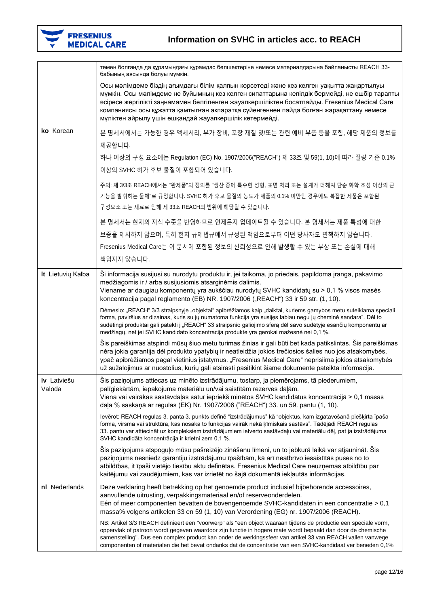

|                       | төмен болғанда да құрамындағы құрамдас бөлшектеріне немесе материалдарына байланысты REACH 33-<br>бабының аясында болуы мүмкін.                                                                                                                                                                                                                                                                                                                             |
|-----------------------|-------------------------------------------------------------------------------------------------------------------------------------------------------------------------------------------------------------------------------------------------------------------------------------------------------------------------------------------------------------------------------------------------------------------------------------------------------------|
|                       | Осы мәлімдеме біздің ағымдағы білім қалпын көрсетеді және кез келген уақытта жаңартылуы<br>мүмкін. Осы мәлімдеме не бұйымның кез келген сипаттарына кепілдік бермейді, не ешбір тарапты<br>әсіресе жергілікті заңнамамен белгіленген жауапкершіліктен босатпайды. Fresenius Medical Care<br>компаниясы осы құжатта қамтылған ақпаратқа сүйенгеннен пайда болған жарақаттану немесе<br>мүліктен айрылу үшін ешқандай жауапкершілік көтермейді.               |
| ko Korean             | 본 명세서에서는 가능한 경우 액세서리, 부가 장비, 포장 재질 및/또는 관련 예비 부품 등을 포함, 해당 제품의 정보를                                                                                                                                                                                                                                                                                                                                                                                          |
|                       | 제공합니다.                                                                                                                                                                                                                                                                                                                                                                                                                                                      |
|                       | 하나 이상의 구성 요소에는 Regulation (EC) No. 1907/2006("REACH") 제 33조 및 59(1, 10)에 따라 질량 기준 0.1%<br>이상의 SVHC 허가 후보 물질이 포함되어 있습니다.                                                                                                                                                                                                                                                                                                                                     |
|                       | 주의: 제 3/3조 REACH에서는 "완제품"의 정의를 "생산 중에 특수한 성형, 표면 처리 또는 설계가 더해져 단순 화학 조성 이상의 큰<br>기능을 발휘하는 물체"로 규정합니다. SVHC 허가 후보 물질의 농도가 제품의 0.1% 미만인 경우에도 복잡한 제품은 포함된<br>구성요소 또는 재료로 인해 제 33조 REACH의 범위에 해당될 수 있습니다.                                                                                                                                                                                                                                                       |
|                       | 본 명세서는 현재의 지식 수준을 반영하므로 언제든지 업데이트될 수 있습니다. 본 명세서는 제품 특성에 대한                                                                                                                                                                                                                                                                                                                                                                                                 |
|                       | 보증을 제시하지 않으며, 특히 현지 규제법규에서 규정된 책임으로부터 어떤 당사자도 면책하지 않습니다.                                                                                                                                                                                                                                                                                                                                                                                                    |
|                       | Fresenius Medical Care는 이 문서에 포함된 정보의 신뢰성으로 인해 발생할 수 있는 부상 또는 손실에 대해                                                                                                                                                                                                                                                                                                                                                                                        |
|                       | 책임지지 않습니다.                                                                                                                                                                                                                                                                                                                                                                                                                                                  |
| It Lietuvių Kalba     | Ši informacija susijusi su nurodytu produktu ir, jei taikoma, jo priedais, papildoma įranga, pakavimo<br>medžiagomis ir / arba susijusiomis atsarginėmis dalimis.<br>Viename ar daugiau komponentų yra aukščiau nurodytų SVHC kandidatų su > 0,1 % visos masės<br>koncentracija pagal reglamento (EB) NR. 1907/2006 ("REACH") 33 ir 59 str. (1, 10).                                                                                                        |
|                       | Dėmesio: "REACH" 3/3 straipsnyje "objektai" apibrėžiamos kaip "daiktai, kuriems gamybos metu suteikiama speciali<br>forma, paviršius ar dizainas, kuris su jų numatoma funkcija yra susijęs labiau negu jų cheminė sandara". Dėl to<br>sudėtingi produktai gali patekti į "REACH" 33 straipsnio galiojimo sferą dėl savo sudėtyje esančių komponentų ar<br>medžiagų, net jei SVHC kandidato koncentracija produkte yra gerokai mažesnė nei 0,1 %.           |
|                       | Šis pareiškimas atspindi mūsų šiuo metu turimas žinias ir gali būti bet kada patikslintas. Šis pareiškimas<br>nėra jokia garantija dėl produkto ypatybių ir neatleidžia jokios trečiosios šalies nuo jos atsakomybės,<br>ypač apibrėžiamos pagal vietinius įstatymus. "Fresenius Medical Care" neprisiima jokios atsakomybės<br>už sužalojimus ar nuostolius, kurių gali atsirasti pasitikint šiame dokumente pateikta informacija.                         |
| Iv Latviešu<br>Valoda | Šis paziņojums attiecas uz minēto izstrādājumu, tostarp, ja piemērojams, tā piederumiem,<br>palīgiekārtām, iepakojuma materiālu un/vai saistītām rezerves daļām.<br>Viena vai vairākas sastāvdaļas satur iepriekš minētos SVHC kandidātus koncentrācijā > 0,1 masas<br>daļa % saskaņā ar regulas (EK) Nr. 1907/2006 ("REACH") 33. un 59. pantu (1, 10).                                                                                                     |
|                       | levērot: REACH regulas 3. panta 3. punkts definē "izstrādājumus" kā "objektus, kam izgatavošanā piešķirta īpaša<br>forma, virsma vai struktūra, kas nosaka to funkcijas vairāk nekā ķīmiskais sastāvs". Tādējādi REACH regulas<br>33. pantu var attiecināt uz kompleksiem izstrādājumiem ietverto sastāvdaļu vai materiālu dēļ, pat ja izstrādājuma<br>SVHC kandidāta koncentrācija ir krietni zem 0,1 %.                                                   |
|                       | Šis paziņojums atspoguļo mūsu pašreizējo zināšanu līmeni, un to jebkurā laikā var atjaunināt. Šis<br>paziņojums nesniedz garantiju izstrādājumu īpašībām, kā arī neatbrīvo iesaistītās puses no to<br>atbildības, it īpaši vietējo tiesību aktu definētas. Fresenius Medical Care neuzņemas atbildību par<br>kaitējumu vai zaudējumiem, kas var izrietēt no šajā dokumentā iekļautās informācijas.                                                          |
| nl Nederlands         | Deze verklaring heeft betrekking op het genoemde product inclusief bijbehorende accessoires,<br>aanvullende uitrusting, verpakkingsmateriaal en/of reserveonderdelen.<br>Eén of meer componenten bevatten de bovengenoemde SVHC-kandidaten in een concentratie > 0,1<br>massa% volgens artikelen 33 en 59 (1, 10) van Verordening (EG) nr. 1907/2006 (REACH).                                                                                               |
|                       | NB: Artikel 3/3 REACH definieert een "voorwerp" als "een object waaraan tijdens de productie een speciale vorm,<br>oppervlak of patroon wordt gegeven waardoor zijn functie in hogere mate wordt bepaald dan door de chemische<br>samenstelling". Dus een complex product kan onder de werkingssfeer van artikel 33 van REACH vallen vanwege<br>componenten of materialen die het bevat ondanks dat de concentratie van een SVHC-kandidaat ver beneden 0,1% |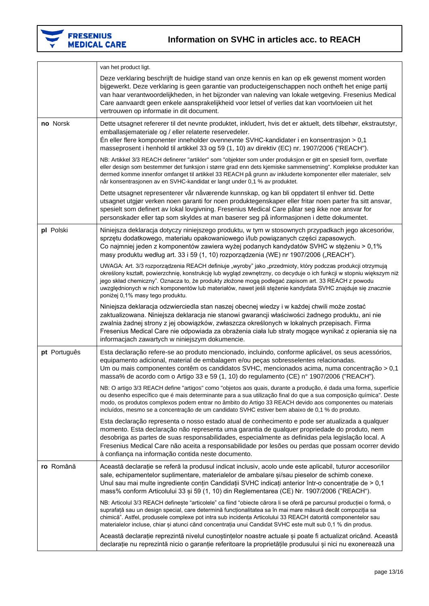

|              | van het product ligt.                                                                                                                                                                                                                                                                                                                                                                                                                                                                         |
|--------------|-----------------------------------------------------------------------------------------------------------------------------------------------------------------------------------------------------------------------------------------------------------------------------------------------------------------------------------------------------------------------------------------------------------------------------------------------------------------------------------------------|
|              | Deze verklaring beschrijft de huidige stand van onze kennis en kan op elk gewenst moment worden<br>bijgewerkt. Deze verklaring is geen garantie van producteigenschappen noch ontheft het enige partij<br>van haar verantwoordelijkheden, in het bijzonder van naleving van lokale wetgeving. Fresenius Medical<br>Care aanvaardt geen enkele aansprakelijkheid voor letsel of verlies dat kan voortvloeien uit het<br>vertrouwen op informatie in dit document.                              |
| no Norsk     | Dette utsagnet refererer til det nevnte produktet, inkludert, hvis det er aktuelt, dets tilbehør, ekstrautstyr,<br>emballasjemateriale og / eller relaterte reservedeler.                                                                                                                                                                                                                                                                                                                     |
|              | En eller flere komponenter inneholder ovennevnte SVHC-kandidater i en konsentrasjon > $0,1$<br>masseprosent i henhold til artikkel 33 og 59 (1, 10) av direktiv (EC) nr. 1907/2006 ("REACH").                                                                                                                                                                                                                                                                                                 |
|              | NB: Artikkel 3/3 REACH definerer "artikler" som "objekter som under produksjon er gitt en spesiell form, overflate<br>eller design som bestemmer det funksjon i større grad enn dets kjemiske sammensetning". Komplekse produkter kan<br>dermed komme innenfor omfanget til artikkel 33 REACH på grunn av inkluderte komponenter eller materialer, selv<br>når konsentrasjonen av en SVHC-kandidat er langt under 0,1 % av produktet.                                                         |
|              | Dette utsagnet representerer vår nåværende kunnskap, og kan bli oppdatert til enhver tid. Dette<br>utsagnet utgjør verken noen garanti for noen produktegenskaper eller fritar noen parter fra sitt ansvar,<br>spesielt som definert av lokal lovgivning. Fresenius Medical Care påtar seg ikke noe ansvar for<br>personskader eller tap som skyldes at man baserer seg på informasjonen i dette dokumentet.                                                                                  |
| pl Polski    | Niniejsza deklaracja dotyczy niniejszego produktu, w tym w stosownych przypadkach jego akcesoriów,<br>sprzętu dodatkowego, materiału opakowaniowego i/lub powiązanych części zapasowych.<br>Co najmniej jeden z komponentów zawiera wyżej podanych kandydatów SVHC w stężeniu > 0,1%<br>masy produktu według art. 33 i 59 (1, 10) rozporządzenia (WE) nr 1907/2006 ("REACH").                                                                                                                 |
|              | UWAGA: Art. 3/3 rozporządzenia REACH definiuje "wyroby" jako "przedmioty, który podczas produkcji otrzymują<br>określony kształt, powierzchnię, konstrukcję lub wygląd zewnętrzny, co decyduje o ich funkcji w stopniu większym niż<br>jego skład chemiczny". Oznacza to, że produkty złożone mogą podlegać zapisom art. 33 REACH z powodu<br>uwzględnionych w nich komponentów lub materiałów, nawet jeśli stężenie kandydata SVHC znajduje się znacznie<br>poniżej 0,1% masy tego produktu. |
|              | Niniejsza deklaracja odzwierciedla stan naszej obecnej wiedzy i w każdej chwili może zostać<br>zaktualizowana. Niniejsza deklaracja nie stanowi gwarancji właściwości żadnego produktu, ani nie<br>zwalnia żadnej strony z jej obowiązków, zwłaszcza określonych w lokalnych przepisach. Firma<br>Fresenius Medical Care nie odpowiada za obrażenia ciała lub straty mogące wynikać z opierania się na<br>informacjach zawartych w niniejszym dokumencie.                                     |
| pt Português | Esta declaração refere-se ao produto mencionado, incluindo, conforme aplicável, os seus acessórios,<br>equipamento adicional, material de embalagem e/ou peças sobresselentes relacionadas.<br>Um ou mais componentes contêm os candidatos SVHC, mencionados acima, numa concentração > 0,1<br>massa% de acordo com o Artigo 33 e 59 (1, 10) do regulamento (CE) nº 1907/2006 ("REACH").                                                                                                      |
|              | NB: O artigo 3/3 REACH define "artigos" como "objetos aos quais, durante a produção, é dada uma forma, superfície<br>ou desenho específico que é mais determinante para a sua utilização final do que a sua composição química". Deste<br>modo, os produtos complexos podem entrar no âmbito do Artigo 33 REACH devido aos componentes ou materiais<br>incluídos, mesmo se a concentração de um candidato SVHC estiver bem abaixo de 0,1 % do produto.                                        |
|              | Esta declaração representa o nosso estado atual de conhecimento e pode ser atualizada a qualquer<br>momento. Esta declaração não representa uma garantia de qualquer propriedade do produto, nem<br>desobriga as partes de suas responsabilidades, especialmente as definidas pela legislação local. A<br>Fresenius Medical Care não aceita a responsabilidade por lesões ou perdas que possam ocorrer devido<br>à confiança na informação contida neste documento.                           |
| ro Română    | Această declarație se referă la produsul indicat inclusiv, acolo unde este aplicabil, tuturor accesoriilor<br>sale, echipamentelor suplimentare, materialelor de ambalare si/sau pieselor de schimb conexe.<br>Unul sau mai multe ingrediente conțin Candidații SVHC indicați anterior într-o concentrație de > 0,1<br>mass% conform Articolului 33 și 59 (1, 10) din Reglementarea (CE) Nr. 1907/2006 ("REACH").                                                                             |
|              | NB: Articolul 3/3 REACH definește "articolele" ca fiind "obiecte cărora li se oferă pe parcursul producției o formă, o<br>suprafață sau un design special, care determină funcționalitatea sa în mai mare măsură decât compoziția sa<br>chimică". Astfel, produsele complexe pot intra sub incidența Articolului 33 REACH datorită componentelor sau<br>materialelor incluse, chiar și atunci când concentrația unui Candidat SVHC este mult sub 0,1 % din produs.                            |
|              | Această declarație reprezintă nivelul cunoștințelor noastre actuale și poate fi actualizat oricând. Această<br>declarație nu reprezintă nicio o garanție referitoare la proprietățile produsului și nici nu exonerează una                                                                                                                                                                                                                                                                    |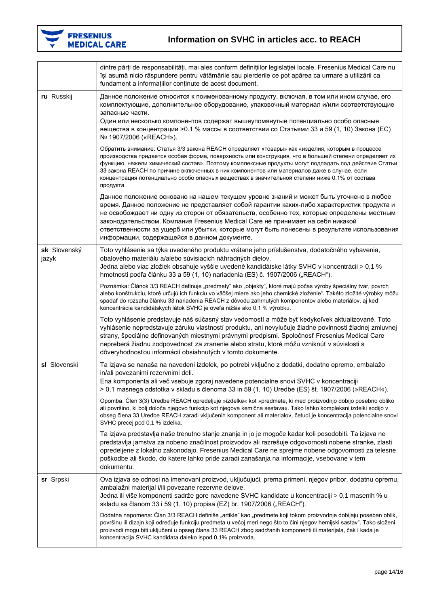

**F** 

# FRESENIUS<br>MEDICAL CARE

|                       | dintre părți de responsabilități, mai ales conform definițiilor legislației locale. Fresenius Medical Care nu<br>își asumă nicio răspundere pentru vătămările sau pierderile ce pot apărea ca urmare a utilizării ca<br>fundament a informațiilor conținute de acest document.                                                                                                                                                                                                                                               |
|-----------------------|------------------------------------------------------------------------------------------------------------------------------------------------------------------------------------------------------------------------------------------------------------------------------------------------------------------------------------------------------------------------------------------------------------------------------------------------------------------------------------------------------------------------------|
| ru Russkij            | Данное положение относится к поименованному продукту, включая, в том или ином случае, его<br>комплектующие, дополнительное оборудование, упаковочный материал и/или соответствующие<br>запасные части.<br>Один или несколько компонентов содержат вышеупомянутые потенциально особо опасные<br>вещества в концентрации > 0.1 % массы в соответствии со Статьями 33 и 59 (1, 10) Закона (EC)<br>Nº 1907/2006 («REACH»).                                                                                                       |
|                       | Обратить внимание: Статья 3/3 закона REACH определяет «товары» как «изделия, которым в процессе<br>производства придается особая форма, поверхность или конструкция, что в большей степени определяет их<br>функцию, нежели химический состав». Поэтому комплексные продукты могут подпадать под действие Статьи<br>33 закона REACH по причине включенных в них компонентов или материалов даже в случае, если<br>концентрация потенциально особо опасных веществах в значительной степени ниже 0.1% от состава<br>продукта. |
|                       | Данное положение основано на нашем текущем уровне знаний и может быть уточнено в любое<br>время. Данное положение не представляет собой гарантии каких-либо характеристик продукта и<br>не освобождает ни одну из сторон от обязательств, особенно тех, которые определены местным<br>законодательством. Компания Fresenius Medical Care не принимает на себя никакой<br>ответственности за ущерб или убытки, которые могут быть понесены в результате использования<br>информации, содержащейся в данном документе.         |
| sk Slovenský<br>jazyk | Toto vyhlásenie sa týka uvedeného produktu vrátane jeho príslušenstva, dodatočného vybavenia,<br>obalového materiálu a/alebo súvisiacich náhradných dielov.<br>Jedna alebo viac zložiek obsahuje vyššie uvedené kandidátske látky SVHC v koncentrácii > 0,1 %<br>hmotnosti podľa článku 33 a 59 (1, 10) nariadenia (ES) č. 1907/2006 ("REACH").                                                                                                                                                                              |
|                       | Poznámka: Článok 3/3 REACH definuje "predmety" ako "objekty", ktoré majú počas výroby špeciálny tvar, povrch<br>alebo konštrukciu, ktoré určujú ich funkciu vo väčšej miere ako jeho chemické zloženie". Takéto zložité výrobky môžu<br>spadať do rozsahu článku 33 nariadenia REACH z dôvodu zahrnutých komponentov alebo materiálov, aj keď<br>koncentrácia kandidátskych látok SVHC je oveľa nižšia ako 0,1 % výrobku.                                                                                                    |
|                       | Toto vyhlásenie predstavuje náš súčasný stav vedomostí a môže byť kedykoľvek aktualizované. Toto<br>vyhlásenie nepredstavuje záruku vlastností produktu, ani nevylučuje žiadne povinnosti žiadnej zmluvnej<br>strany, špeciálne definovaných miestnymi právnymi predpismi. Spoločnosť Fresenius Medical Care<br>nepreberá žiadnu zodpovednosť za zranenie alebo stratu, ktoré môžu vzniknúť v súvislosti s<br>dôveryhodnosťou informácií obsiahnutých v tomto dokumente.                                                     |
| sl Slovenski          | Ta izjava se nanaša na navedeni izdelek, po potrebi vključno z dodatki, dodatno opremo, embalažo<br>in/ali povezanimi rezervnimi deli.<br>Ena komponenta ali več vsebuje zgoraj navedene potencialne snovi SVHC v koncentraciji<br>$> 0.1$ masnega odstotka v skladu s členoma 33 in 59 (1, 10) Uredbe (ES) št. 1907/2006 (»REACH«).                                                                                                                                                                                         |
|                       | Opomba: Člen 3(3) Uredbe REACH opredeljuje »izdelke« kot »predmete, ki med proizvodnjo dobijo posebno obliko<br>ali površino, ki bolj določa njegovo funkcijo kot njegova kemična sestava«. Tako lahko kompleksni izdelki sodijo v<br>obseg člena 33 Uredbe REACH zaradi vključenih komponent ali materialov, četudi je koncentracija potencialne snovi<br>SVHC precej pod 0,1 % izdelka.                                                                                                                                    |
|                       | Ta izjava predstavlja naše trenutno stanje znanja in jo je mogoče kadar koli posodobiti. Ta izjava ne<br>predstavlja jamstva za nobeno značilnost proizvodov ali razrešuje odgovornosti nobene stranke, zlasti<br>opredeljene z lokalno zakonodajo. Fresenius Medical Care ne sprejme nobene odgovornosti za telesne<br>poškodbe ali škodo, do katere lahko pride zaradi zanašanja na informacije, vsebovane v tem<br>dokumentu.                                                                                             |
| sr Srpski             | Ova izjava se odnosi na imenovani proizvod, uključujući, prema primeni, njegov pribor, dodatnu opremu,<br>ambalažni materijal i/ili povezane rezervne delove.<br>Jedna ili više komponenti sadrže gore navedene SVHC kandidate u koncentraciji > 0,1 masenih % u<br>skladu sa članom 33 i 59 (1, 10) propisa (EZ) br. 1907/2006 ("REACH").                                                                                                                                                                                   |
|                       | Dodatna napomena: Član 3/3 REACH definiše "artikle" kao "predmete koji tokom proizvodnje dobijaju poseban oblik,<br>površinu ili dizajn koji određuje funkciju predmeta u većoj meri nego što to čini njegov hemijski sastav". Tako složeni<br>proizvodi mogu biti uključeni u opseg člana 33 REACH zbog sadržanih komponenti ili materijala, čak i kada je<br>koncentracija SVHC kandidata daleko ispod 0,1% proizvoda.                                                                                                     |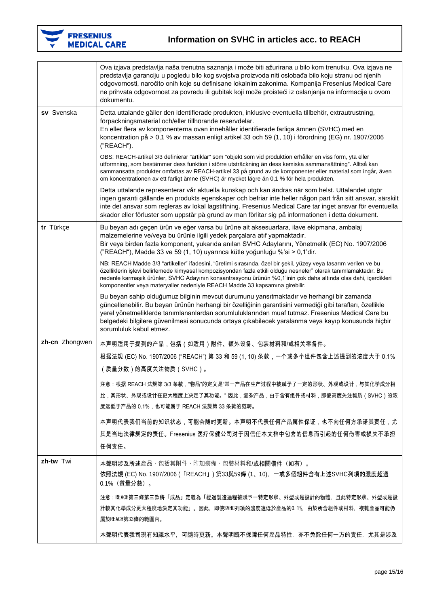

|                | Ova izjava predstavlja naša trenutna saznanja i može biti ažurirana u bilo kom trenutku. Ova izjava ne<br>predstavlja garanciju u pogledu bilo kog svojstva proizvoda niti oslobađa bilo koju stranu od njenih<br>odgovornosti, naročito onih koje su definisane lokalnim zakonima. Kompanija Fresenius Medical Care<br>ne prihvata odgovornost za povredu ili gubitak koji može proisteći iz oslanjanja na informacije u ovom<br>dokumentu. |
|----------------|----------------------------------------------------------------------------------------------------------------------------------------------------------------------------------------------------------------------------------------------------------------------------------------------------------------------------------------------------------------------------------------------------------------------------------------------|
| sv Svenska     | Detta uttalande gäller den identifierade produkten, inklusive eventuella tillbehör, extrautrustning,<br>förpackningsmaterial och/eller tillhörande reservdelar.<br>En eller flera av komponenterna ovan innehåller identifierade farliga ämnen (SVHC) med en<br>koncentration på > 0,1 % av massan enligt artikel 33 och 59 (1, 10) i förordning (EG) nr. 1907/2006<br>("REACH").                                                            |
|                | OBS: REACH-artikel 3/3 definierar "artiklar" som "objekt som vid produktion erhåller en viss form, yta eller<br>utformning, som bestämmer dess funktion i större utsträckning än dess kemiska sammansättning". Alltså kan<br>sammansatta produkter omfattas av REACH-artikel 33 på grund av de komponenter eller material som ingår, även<br>om koncentrationen av ett farligt ämne (SVHC) är mycket lägre än 0,1 % för hela produkten.      |
|                | Detta uttalande representerar vår aktuella kunskap och kan ändras när som helst. Uttalandet utgör<br>ingen garanti gällande en produkts egenskaper och befriar inte heller någon part från sitt ansvar, särskilt<br>inte det ansvar som regleras av lokal lagstiftning. Fresenius Medical Care tar inget ansvar för eventuella<br>skador eller förluster som uppstår på grund av man förlitar sig på informationen i detta dokument.         |
| tr Türkçe      | Bu beyan adı geçen ürün ve eğer varsa bu ürüne ait aksesuarlara, ilave ekipmana, ambalaj<br>malzemelerine ve/veya bu ürünle ilgili yedek parçalara atıf yapmaktadır.<br>Bir veya birden fazla komponent, yukarıda anılan SVHC Adaylarını, Yönetmelik (EC) No. 1907/2006<br>("REACH"), Madde 33 ve 59 (1, 10) uyarınca kütle yoğunluğu %'si > 0,1'dir.                                                                                        |
|                | NB: REACH Madde 3/3 "artikeller" ifadesini, "üretimi sırasında, özel bir şekil, yüzey veya tasarım verilen ve bu<br>özelliklerin işlevi belirlemede kimyasal kompozisyondan fazla etkili olduğu nesneler" olarak tanımlamaktadır. Bu<br>nedenle karmaşık ürünler, SVHC Adayının konsantrasyonu ürünün %0,1'inin çok daha altında olsa dahi, içerdikleri<br>komponentler veya materyaller nedeniyle REACH Madde 33 kapsamına girebilir.       |
|                | Bu beyan sahip olduğumuz bilginin mevcut durumunu yansıtmaktadır ve herhangi bir zamanda<br>güncellenebilir. Bu beyan ürünün herhangi bir özelliğinin garantisini vermediği gibi tarafları, özellikle<br>yerel yönetmeliklerde tanımlananlardan sorumluluklarından muaf tutmaz. Fresenius Medical Care bu<br>belgedeki bilgilere güvenilmesi sonucunda ortaya çıkabilecek yaralanma veya kayıp konusunda hiçbir<br>sorumluluk kabul etmez.   |
| zh-cn Zhongwen | 本声明适用于提到的产品,包括(如适用)附件、额外设备、包装材料和/或相关零备件。                                                                                                                                                                                                                                                                                                                                                                                                     |
|                | 根据法规 (EC) No. 1907/2006 ("REACH") 第 33 和 59 (1, 10) 条款,一个或多个组件包含上述提到的浓度大于 0.1%<br>(质量分数)的高度关注物质(SVHC)。                                                                                                                                                                                                                                                                                                                                       |
|                | 注意:根据 REACH 法规第 3/3 条款,"物品"的定义是"某一产品在生产过程中被赋予了一定的形状、外观或设计,与其化学成分相<br>比,其形状、外观或设计在更大程度上决定了其功能。" 因此,复杂产品,由于含有组件或材料,即便高度关注物质(SVHC)的浓<br>度远低于产品的 0.1%,也可能属于 REACH 法规第 33 条款的范畴。                                                                                                                                                                                                                                                                  |
|                | 本声明代表我们当前的知识状态,可能会随时更新。本声明不代表任何产品属性保证,也不向任何方承诺其责任,尤<br>其是当地法律规定的责任。Fresenius 医疗保健公司对于因信任本文档中包含的信息而引起的任何伤害或损失不承担<br>任何责任。                                                                                                                                                                                                                                                                                                                     |
| zh-tw Twi      | 本聲明涉及所述產品,包括其附件、附加裝備、包裝材料和/或相關備件(如有)。<br>依照法規 (EC) No. 1907/2006 (「REACH」) 第33與59條 (1、10),一或多個組件含有上述SVHC列項的濃度超過<br>0.1% (質量分數)。                                                                                                                                                                                                                                                                                                              |
|                | 注意:REACH第三條第三款將「成品」定義為「經過製造過程被賦予一特定形狀、外型或是設計的物體,且此特定形狀、外型或是設<br>計較其化學成分更大程度地決定其功能」。因此,即使SVHC列項的濃度遠低於產品的0.1%,由於所含組件或材料,複雜產品可能仍<br>屬於REACH第33條的範圍內。                                                                                                                                                                                                                                                                                            |
|                | 本聲明代表我司現有知識水平,可隨時更新。本聲明既不保障任何產品特性,亦不免除任何一方的責任,尤其是涉及                                                                                                                                                                                                                                                                                                                                                                                          |